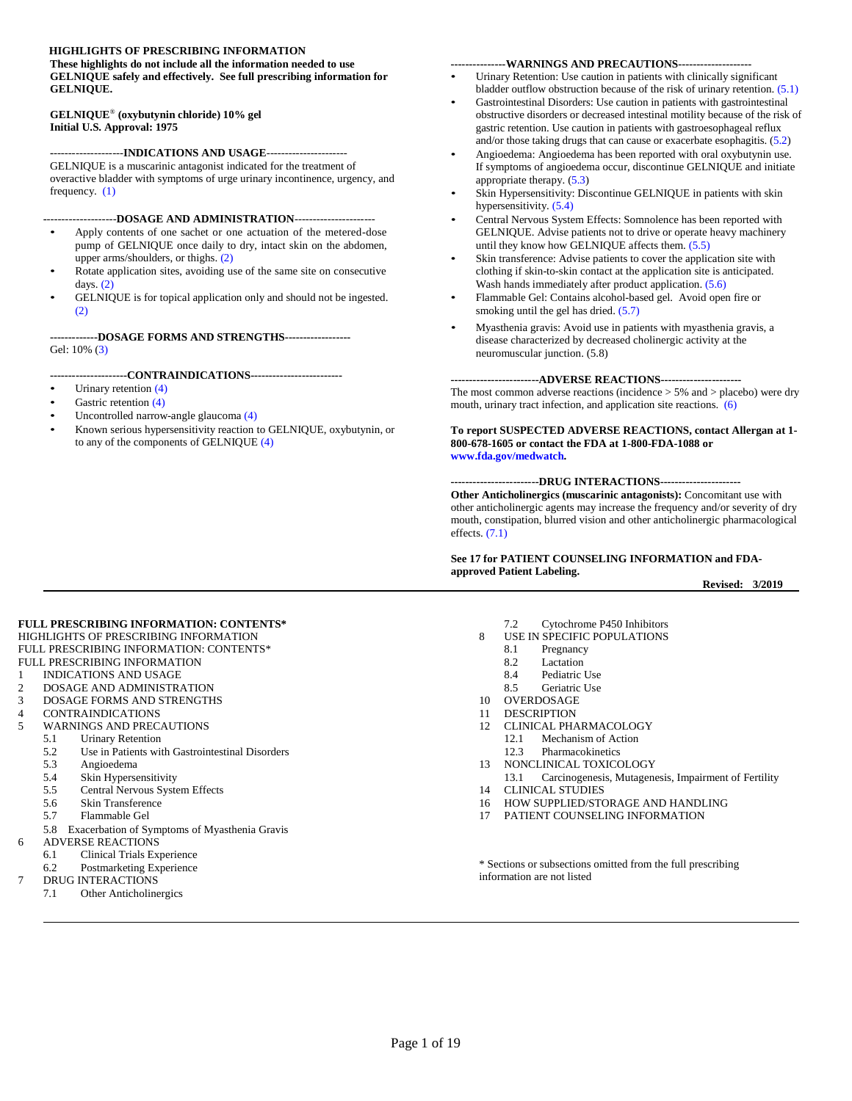#### <span id="page-0-0"></span>**HIGHLIGHTS OF PRESCRIBING INFORMATION**

**These highlights do not include all the information needed to use GELNIQUE safely and effectively. See full prescribing information for GELNIQUE.**

#### **GELNIQUE** ® **(oxybutynin chloride) 10% gel Initial U.S. Approval: 1975**

#### **-**-------------------**INDICATIONS AND USAGE**----------------------

GELNIQUE is a muscarinic antagonist indicated for the treatment of overactive bladder with symptoms of urge urinary incontinence, urgency, and frequency. [\(1\)](#page-1-0)

**-**-------------------**DOSAGE AND ADMINISTRATION**----------------------

- Apply contents of one sachet or one actuation of the metered-dose pump of GELNIQUE once daily to dry, intact skin on the abdomen, upper arms/shoulders, or thighs. [\(2\)](#page-1-1)
- Rotate application sites, avoiding use of the same site on consecutive days. [\(2\)](#page-1-1)
- GELNIQUE is for topical application only and should not be ingested. [\(2\)](#page-1-1)

**-------------DOSAGE FORMS AND STRENGTHS------------------** Gel: 10% [\(3\)](#page-1-2)

#### **---------------------CONTRAINDICATIONS-------------------------**

- Urinary retention [\(4\)](#page-1-3)
- Gastric retention [\(4\)](#page-1-3)
- Uncontrolled narrow-angle glaucoma [\(4\)](#page-1-3)
- Known serious hypersensitivity reaction to GELNIQUE, oxybutynin, or to any of the components of GELNIQUE [\(4\)](#page-1-3)

#### **---------------WARNINGS AND PRECAUTIONS--------------------**

- Urinary Retention: Use caution in patients with clinically significant bladder outflow obstruction because of the risk of urinary retention. [\(5.1\)](#page-1-4)
- Gastrointestinal Disorders: Use caution in patients with gastrointestinal obstructive disorders or decreased intestinal motility because of the risk of gastric retention. Use caution in patients with gastroesophageal reflux and/or those taking drugs that can cause or exacerbate esophagitis. [\(5.2\)](#page-1-5)
- Angioedema: Angioedema has been reported with oral oxybutynin use. If symptoms of angioedema occur, discontinue GELNIQUE and initiate appropriate therapy. [\(5.3\)](#page-2-0)
- Skin Hypersensitivity: Discontinue GELNIQUE in patients with skin hypersensitivity. [\(5.4\)](#page-2-1)
- Central Nervous System Effects: Somnolence has been reported with GELNIQUE. Advise patients not to drive or operate heavy machinery until they know how GELNIQUE affects them. [\(5.5\)](#page-2-2)
- Skin transference: Advise patients to cover the application site with clothing if skin-to-skin contact at the application site is anticipated. Wash hands immediately after product application. [\(5.6\)](#page-2-3)
- Flammable Gel: Contains alcohol-based gel. Avoid open fire or smoking until the gel has dried. [\(5.7\)](#page-2-4)
- Myasthenia gravis: Avoid use in patients with myasthenia gravis, a disease characterized by decreased cholinergic activity at the neuromuscular junction. (5.8)

**------------------------ADVERSE REACTIONS----------------------** The most common adverse reactions (incidence > 5% and > placebo) were dry mouth, urinary tract infection, and application site reactions. [\(6\)](#page-3-0)

**To report SUSPECTED ADVERSE REACTIONS, contact Allergan at 1- 800-678-1605 or contact the FDA at 1-800-FDA-1088 or www.fda.gov/medwatch.**

**------------------------DRUG INTERACTIONS---------------------- Other Anticholinergics (muscarinic antagonists):** Concomitant use with other anticholinergic agents may increase the frequency and/or severity of dry mouth, constipation, blurred vision and other anticholinergic pharmacological effects. [\(7.1\)](#page-4-0)

#### **See 17 for PATIENT COUNSELING INFORMATION and FDAapproved Patient Labeling.**

**Revised: 3/2019**

#### <span id="page-0-1"></span>**FULL PRESCRIBING INFORMATION: CONTENTS\***

- [HIGHLIGHTS OF PRESCRIBING INFORMATION](#page-0-0) [FULL PRESCRIBING INFORMATION: CONTENTS\\*](#page-0-1)
- [FULL PRESCRIBING INFORMATION](#page-1-6)
- 1 [INDICATIONS AND USAGE](#page-1-0)
- 2 [DOSAGE AND ADMINISTRATION](#page-1-1)
- 3 [DOSAGE FORMS AND STRENGTHS](#page-1-2)
- 4 [CONTRAINDICATIONS](#page-1-3)
- 5 [WARNINGS AND PRECAUTIONS](#page-1-7)
	- 5.1 [Urinary Retention](#page-1-4)
	- 5.2 [Use in Patients with Gastrointestinal Disorders](#page-1-5)
	- 5.3 [Angioedema](#page-2-0)
	- 5.4 [Skin Hypersensitivity](#page-2-1)<br>5.5 Central Nervous Syste
	- 5.5 [Central Nervous System Effects](#page-2-2)
	- 5.6 [Skin Transference](#page-2-3)
	- 5.7 [Flammable Gel](#page-2-4)
- 5.8 Exacerbation of Symptoms of Myasthenia Gravis
- 6 [ADVERSE REACTIONS](#page-3-0)
	- 6.1 [Clinical Trials Experience](#page-3-1)
- 6.2 [Postmarketing Experience](#page-4-1)
- [DRUG INTERACTIONS](#page-4-2)
	- 7.1 [Other Anticholinergics](#page-4-0)
- 7.2 [Cytochrome P450 Inhibitors](#page-4-3)
- 8 [USE IN SPECIFIC POPULATIONS](#page-4-4)
	- 8.1 [Pregnancy](#page-4-5)
	- 8.2 [Lactation](#page-5-0)
	- 8.4 [Pediatric Use](#page-5-1)<br>8.5 Geriatric Use [Geriatric](#page-5-2) Use
- 
- 10 [OVERDOSAGE](#page-5-3)
- 11 [DESCRIPTION](#page-5-4)
- 12 [CLINICAL PHARMACOLOGY](#page-6-0)
	- 12.1 [Mechanism](#page-6-1) of Action
	- 12.3 [Pharmacokinetics](#page-6-2)
- 13 [NONCLINICAL TOXICOLOGY](#page-9-0)<br>13.1 Carcinogenesis, Mutagene
- [Carcinogenesis, Mutagenesis, Impairment](#page-9-1) of Fertility
- 14 [CLINICAL STUDIES](#page-9-2)
- 16 [HOW SUPPLIED/STORAGE AND HANDLING](#page-10-0)
- 17 [PATIENT COUNSELING INFORMATION](#page-11-0)

\* Sections or subsections omitted from the full prescribing information are not listed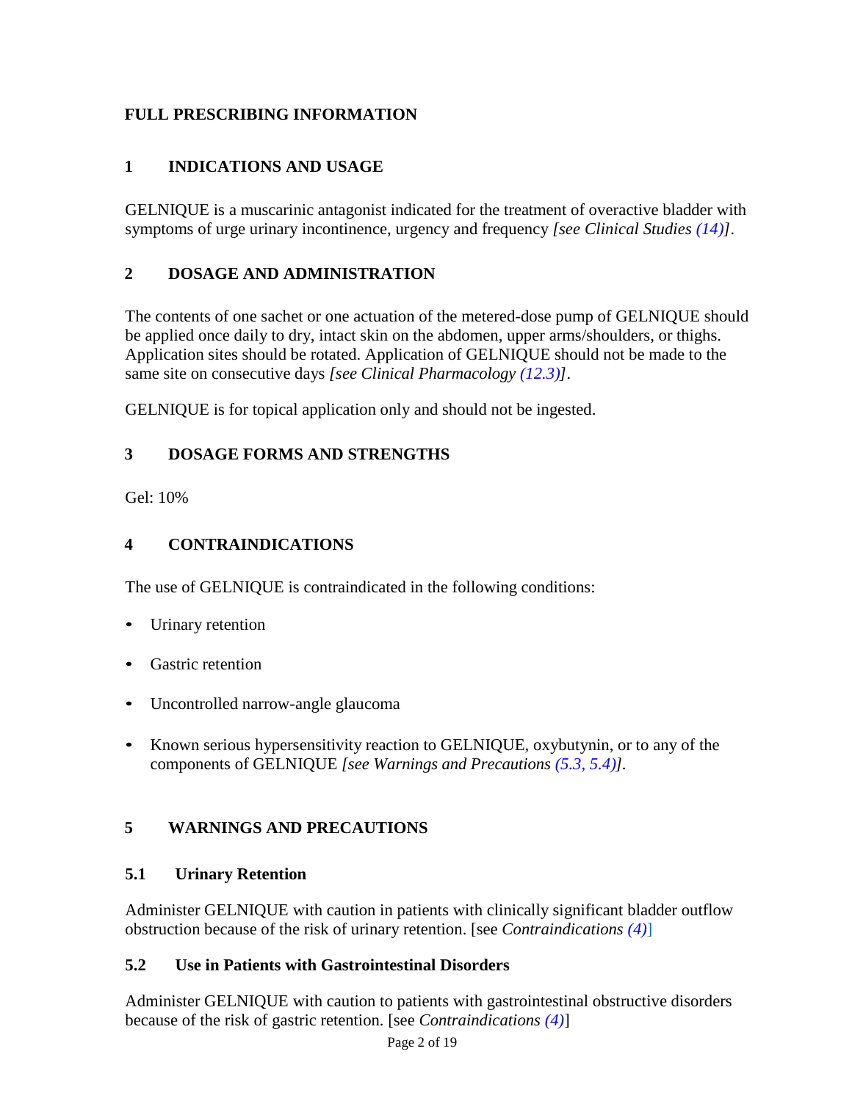# <span id="page-1-6"></span>**FULL PRESCRIBING INFORMATION**

## <span id="page-1-0"></span>**1 INDICATIONS AND USAGE**

GELNIQUE is a muscarinic antagonist indicated for the treatment of overactive bladder with symptoms of urge urinary incontinence, urgency and frequency *[see Clinical Studies [\(14\)\]](#page-9-2).*

## <span id="page-1-1"></span>**2 DOSAGE AND ADMINISTRATION**

The contents of one sachet or one actuation of the metered-dose pump of GELNIQUE should be applied once daily to dry, intact skin on the abdomen, upper arms/shoulders, or thighs. Application sites should be rotated. Application of GELNIQUE should not be made to the same site on consecutive days *[see Clinical Pharmacology [\(12.3\)\]](#page-6-2).*

GELNIQUE is for topical application only and should not be ingested.

## <span id="page-1-2"></span>**3 DOSAGE FORMS AND STRENGTHS**

Gel: 10%

## <span id="page-1-3"></span>**4 CONTRAINDICATIONS**

The use of GELNIQUE is contraindicated in the following conditions:

- Urinary retention
- Gastric retention
- Uncontrolled narrow-angle glaucoma
- Known serious hypersensitivity reaction to GELNIQUE, oxybutynin, or to any of the components of GELNIQUE *[see Warnings and Precautions [\(5.3,](#page-2-0) [5.4\)\]](#page-2-1).*

# <span id="page-1-7"></span>**5 WARNINGS AND PRECAUTIONS**

## <span id="page-1-4"></span>**5.1 Urinary Retention**

Administer GELNIQUE with caution in patients with clinically significant bladder outflow obstruction because of the risk of urinary retention. [see *Contraindications [\(4\)](#page-1-3)*]

## <span id="page-1-5"></span>**5.2 Use in Patients with Gastrointestinal Disorders**

Administer GELNIQUE with caution to patients with gastrointestinal obstructive disorders because of the risk of gastric retention. [see *Contraindications [\(4\)](#page-1-3)*]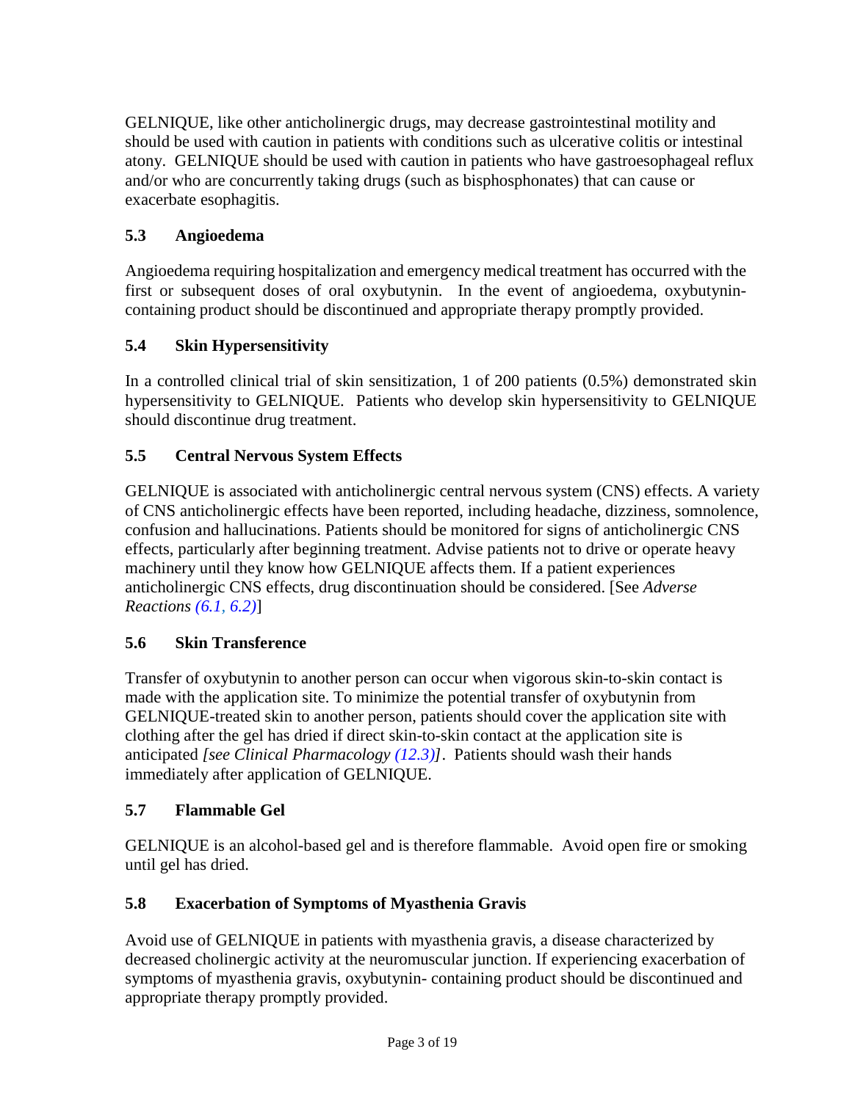GELNIQUE, like other anticholinergic drugs, may decrease gastrointestinal motility and should be used with caution in patients with conditions such as ulcerative colitis or intestinal atony. GELNIQUE should be used with caution in patients who have gastroesophageal reflux and/or who are concurrently taking drugs (such as bisphosphonates) that can cause or exacerbate esophagitis.

# <span id="page-2-0"></span>**5.3 Angioedema**

Angioedema requiring hospitalization and emergency medical treatment has occurred with the first or subsequent doses of oral oxybutynin. In the event of angioedema, oxybutynincontaining product should be discontinued and appropriate therapy promptly provided.

# <span id="page-2-1"></span>**5.4 Skin Hypersensitivity**

In a controlled clinical trial of skin sensitization, 1 of 200 patients (0.5%) demonstrated skin hypersensitivity to GELNIQUE. Patients who develop skin hypersensitivity to GELNIQUE should discontinue drug treatment.

# <span id="page-2-2"></span>**5.5 Central Nervous System Effects**

GELNIQUE is associated with anticholinergic central nervous system (CNS) effects. A variety of CNS anticholinergic effects have been reported, including headache, dizziness, somnolence, confusion and hallucinations. Patients should be monitored for signs of anticholinergic CNS effects, particularly after beginning treatment. Advise patients not to drive or operate heavy machinery until they know how GELNIQUE affects them. If a patient experiences anticholinergic CNS effects, drug discontinuation should be considered. [See *Adverse Reactions [\(6.1,](#page-3-1) [6.2\)](#page-4-1)*]

# <span id="page-2-3"></span>**5.6 Skin Transference**

Transfer of oxybutynin to another person can occur when vigorous skin-to-skin contact is made with the application site. To minimize the potential transfer of oxybutynin from GELNIQUE-treated skin to another person, patients should cover the application site with clothing after the gel has dried if direct skin-to-skin contact at the application site is anticipated *[see Clinical Pharmacology [\(12.3\)\]](#page-6-2)*. Patients should wash their hands immediately after application of GELNIQUE.

# <span id="page-2-4"></span>**5.7 Flammable Gel**

GELNIQUE is an alcohol-based gel and is therefore flammable. Avoid open fire or smoking until gel has dried.

# **5.8 Exacerbation of Symptoms of Myasthenia Gravis**

Avoid use of GELNIQUE in patients with myasthenia gravis, a disease characterized by decreased cholinergic activity at the neuromuscular junction. If experiencing exacerbation of symptoms of myasthenia gravis, oxybutynin- containing product should be discontinued and appropriate therapy promptly provided.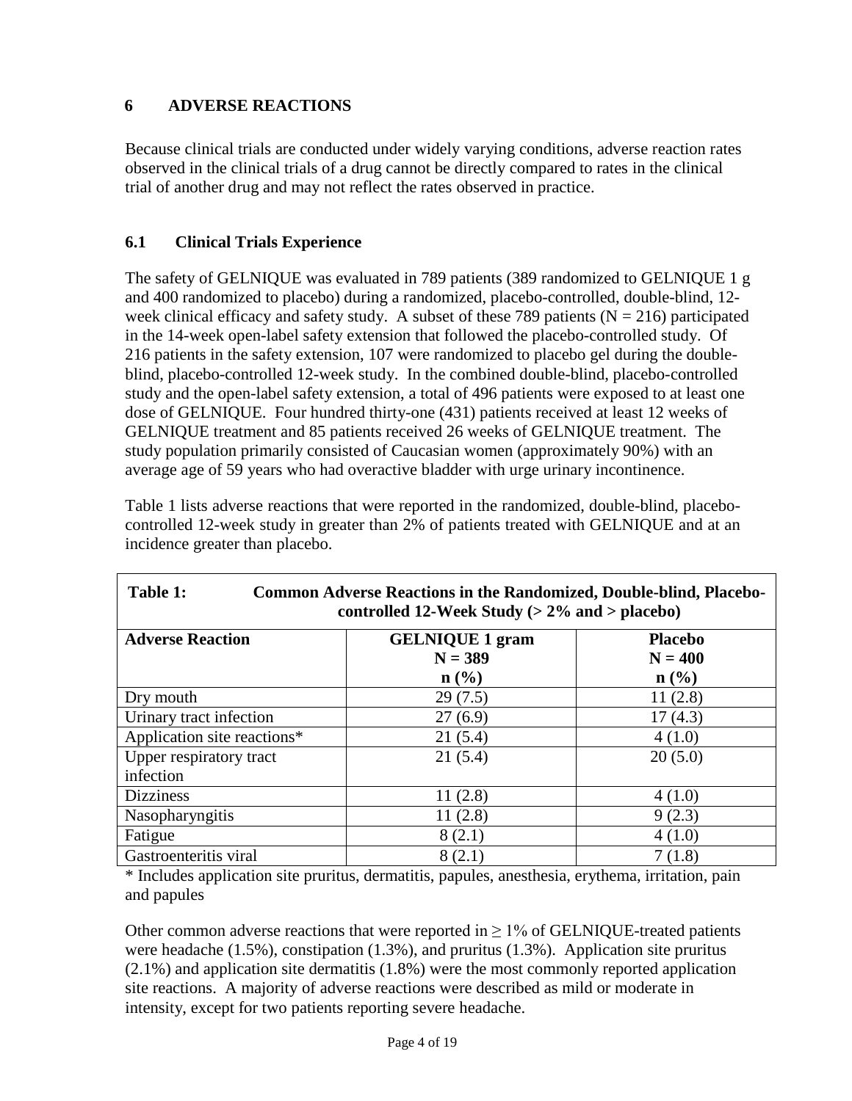## <span id="page-3-0"></span>**6 ADVERSE REACTIONS**

Because clinical trials are conducted under widely varying conditions, adverse reaction rates observed in the clinical trials of a drug cannot be directly compared to rates in the clinical trial of another drug and may not reflect the rates observed in practice.

## <span id="page-3-1"></span>**6.1 Clinical Trials Experience**

The safety of GELNIQUE was evaluated in 789 patients (389 randomized to GELNIQUE 1 g and 400 randomized to placebo) during a randomized, placebo-controlled, double-blind, 12 week clinical efficacy and safety study. A subset of these 789 patients ( $N = 216$ ) participated in the 14-week open-label safety extension that followed the placebo-controlled study. Of 216 patients in the safety extension, 107 were randomized to placebo gel during the doubleblind, placebo-controlled 12-week study. In the combined double-blind, placebo-controlled study and the open-label safety extension, a total of 496 patients were exposed to at least one dose of GELNIQUE. Four hundred thirty-one (431) patients received at least 12 weeks of GELNIQUE treatment and 85 patients received 26 weeks of GELNIQUE treatment. The study population primarily consisted of Caucasian women (approximately 90%) with an average age of 59 years who had overactive bladder with urge urinary incontinence.

<span id="page-3-2"></span>

| Table 1:<br><b>Common Adverse Reactions in the Randomized, Double-blind, Placebo-</b><br>controlled 12-Week Study ( $> 2\%$ and $>$ placebo) |                             |                |  |  |  |  |
|----------------------------------------------------------------------------------------------------------------------------------------------|-----------------------------|----------------|--|--|--|--|
| <b>Adverse Reaction</b>                                                                                                                      | <b>GELNIQUE 1 gram</b>      | <b>Placebo</b> |  |  |  |  |
|                                                                                                                                              | $N = 389$                   | $N = 400$      |  |  |  |  |
|                                                                                                                                              | $n\left(\frac{0}{0}\right)$ | n (% )         |  |  |  |  |
| Dry mouth                                                                                                                                    | 29(7.5)                     | 11(2.8)        |  |  |  |  |
| Urinary tract infection                                                                                                                      | 27(6.9)                     | 17(4.3)        |  |  |  |  |
| Application site reactions*                                                                                                                  | 21(5.4)                     | 4(1.0)         |  |  |  |  |
| Upper respiratory tract                                                                                                                      | 21(5.4)                     | 20(5.0)        |  |  |  |  |
| infection                                                                                                                                    |                             |                |  |  |  |  |
| <b>Dizziness</b>                                                                                                                             | 11(2.8)                     | 4(1.0)         |  |  |  |  |
| Nasopharyngitis                                                                                                                              | 11(2.8)                     | 9(2.3)         |  |  |  |  |
| Fatigue                                                                                                                                      | 8(2.1)                      | 4(1.0)         |  |  |  |  |
| Gastroenteritis viral                                                                                                                        | 8(2.1)                      | 7(1.8)         |  |  |  |  |

[Table 1](#page-3-2) lists adverse reactions that were reported in the randomized, double-blind, placebocontrolled 12-week study in greater than 2% of patients treated with GELNIQUE and at an incidence greater than placebo.

\* Includes application site pruritus, dermatitis, papules, anesthesia, erythema, irritation, pain and papules

Other common adverse reactions that were reported in  $\geq 1\%$  of GELNIQUE-treated patients were headache  $(1.5\%)$ , constipation  $(1.3\%)$ , and pruritus  $(1.3\%)$ . Application site pruritus (2.1%) and application site dermatitis (1.8%) were the most commonly reported application site reactions. A majority of adverse reactions were described as mild or moderate in intensity, except for two patients reporting severe headache.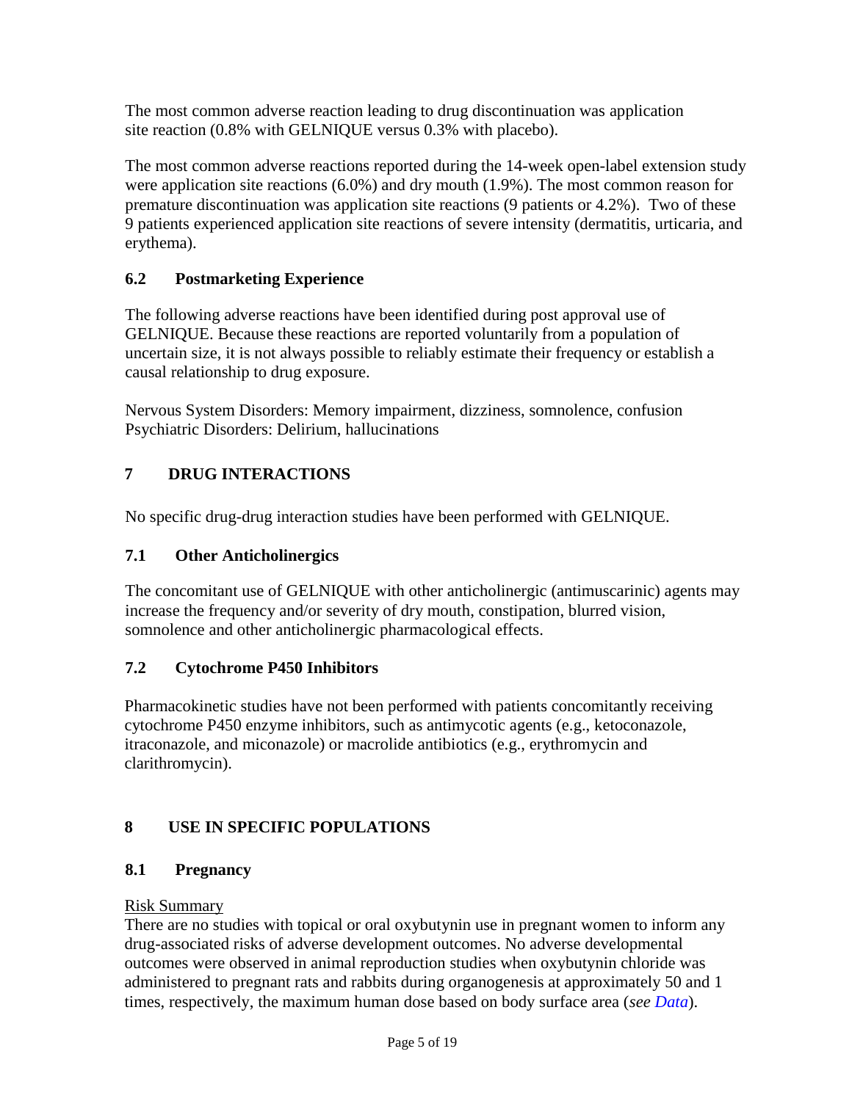The most common adverse reaction leading to drug discontinuation was application site reaction (0.8% with GELNIQUE versus 0.3% with placebo).

The most common adverse reactions reported during the 14-week open-label extension study were application site reactions (6.0%) and dry mouth (1.9%). The most common reason for premature discontinuation was application site reactions (9 patients or 4.2%). Two of these 9 patients experienced application site reactions of severe intensity (dermatitis, urticaria, and erythema).

## <span id="page-4-1"></span>**6.2 Postmarketing Experience**

The following adverse reactions have been identified during post approval use of GELNIQUE. Because these reactions are reported voluntarily from a population of uncertain size, it is not always possible to reliably estimate their frequency or establish a causal relationship to drug exposure.

Nervous System Disorders: Memory impairment, dizziness, somnolence, confusion Psychiatric Disorders: Delirium, hallucinations

# <span id="page-4-2"></span>**7 DRUG INTERACTIONS**

No specific drug-drug interaction studies have been performed with GELNIQUE.

## <span id="page-4-0"></span>**7.1 Other Anticholinergics**

The concomitant use of GELNIQUE with other anticholinergic (antimuscarinic) agents may increase the frequency and/or severity of dry mouth, constipation, blurred vision, somnolence and other anticholinergic pharmacological effects.

## <span id="page-4-3"></span>**7.2 Cytochrome P450 Inhibitors**

Pharmacokinetic studies have not been performed with patients concomitantly receiving cytochrome P450 enzyme inhibitors, such as antimycotic agents (e.g., ketoconazole, itraconazole, and miconazole) or macrolide antibiotics (e.g., erythromycin and clarithromycin).

# <span id="page-4-4"></span>**8 USE IN SPECIFIC POPULATIONS**

# <span id="page-4-5"></span>**8.1 Pregnancy**

## Risk Summary

There are no studies with topical or oral oxybutynin use in pregnant women to inform any drug-associated risks of adverse development outcomes. No adverse developmental outcomes were observed in animal reproduction studies when oxybutynin chloride was administered to pregnant rats and rabbits during organogenesis at approximately 50 and 1 times, respectively, the maximum human dose based on body surface area (*see [Data](#page-5-5)*).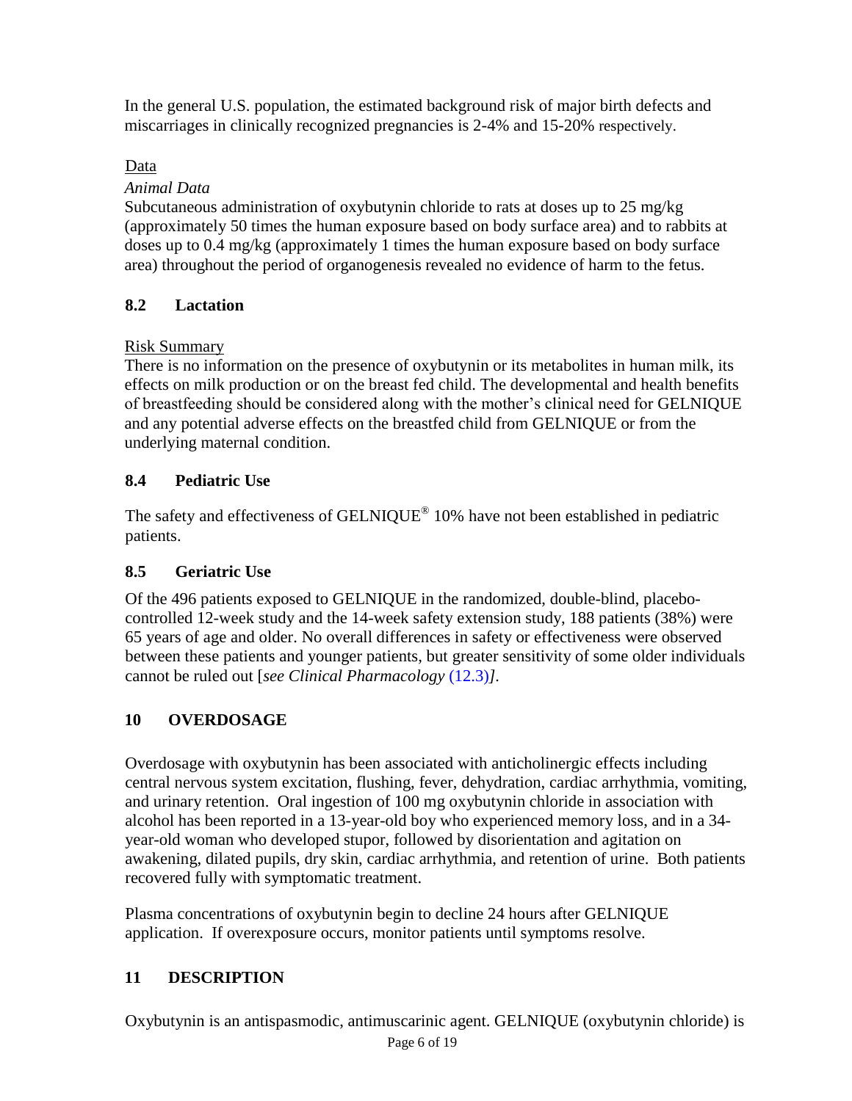In the general U.S. population, the estimated background risk of major birth defects and miscarriages in clinically recognized pregnancies is 2-4% and 15-20% respectively.

# <span id="page-5-5"></span>Data

## *Animal Data*

Subcutaneous administration of oxybutynin chloride to rats at doses up to 25 mg/kg (approximately 50 times the human exposure based on body surface area) and to rabbits at doses up to 0.4 mg/kg (approximately 1 times the human exposure based on body surface area) throughout the period of organogenesis revealed no evidence of harm to the fetus.

## <span id="page-5-0"></span>**8.2 Lactation**

## Risk Summary

There is no information on the presence of oxybutynin or its metabolites in human milk, its effects on milk production or on the breast fed child. The developmental and health benefits of breastfeeding should be considered along with the mother's clinical need for GELNIQUE and any potential adverse effects on the breastfed child from GELNIQUE or from the underlying maternal condition.

# <span id="page-5-1"></span>**8.4 Pediatric Use**

The safety and effectiveness of GELNIQUE<sup>®</sup> 10% have not been established in pediatric patients.

## <span id="page-5-2"></span>**8.5 Geriatric Use**

Of the 496 patients exposed to GELNIQUE in the randomized, double-blind, placebocontrolled 12-week study and the 14-week safety extension study, 188 patients (38%) were 65 years of age and older. No overall differences in safety or effectiveness were observed between these patients and younger patients, but greater sensitivity of some older individuals cannot be ruled out [*see Clinical Pharmacology* [\(12.3\)](#page-6-2)*].*

# <span id="page-5-3"></span>**10 OVERDOSAGE**

Overdosage with oxybutynin has been associated with anticholinergic effects including central nervous system excitation, flushing, fever, dehydration, cardiac arrhythmia, vomiting, and urinary retention. Oral ingestion of 100 mg oxybutynin chloride in association with alcohol has been reported in a 13-year-old boy who experienced memory loss, and in a 34 year-old woman who developed stupor, followed by disorientation and agitation on awakening, dilated pupils, dry skin, cardiac arrhythmia, and retention of urine. Both patients recovered fully with symptomatic treatment.

Plasma concentrations of oxybutynin begin to decline 24 hours after GELNIQUE application. If overexposure occurs, monitor patients until symptoms resolve.

# <span id="page-5-4"></span>**11 DESCRIPTION**

Oxybutynin is an antispasmodic, antimuscarinic agent. GELNIQUE (oxybutynin chloride) is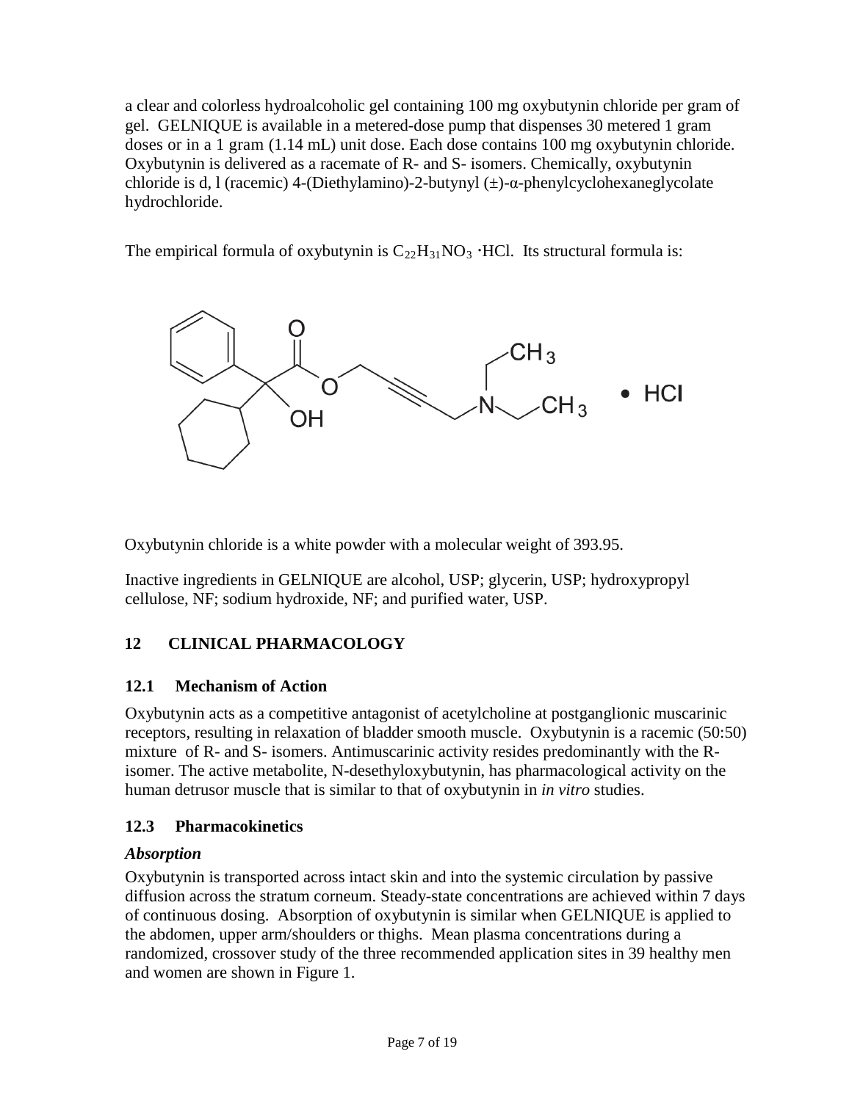a clear and colorless hydroalcoholic gel containing 100 mg oxybutynin chloride per gram of gel. GELNIQUE is available in a metered-dose pump that dispenses 30 metered 1 gram doses or in a 1 gram (1.14 mL) unit dose. Each dose contains 100 mg oxybutynin chloride. Oxybutynin is delivered as a racemate of R- and S- isomers. Chemically, oxybutynin chloride is d, l (racemic) 4-(Diethylamino)-2-butynyl (±)-α-phenylcyclohexaneglycolate hydrochloride.

The empirical formula of oxybutynin is  $C_{22}H_{31}NO_3$  HCl. Its structural formula is:



Oxybutynin chloride is a white powder with a molecular weight of 393.95.

Inactive ingredients in GELNIQUE are alcohol, USP; glycerin, USP; hydroxypropyl cellulose, NF; sodium hydroxide, NF; and purified water, USP.

# <span id="page-6-0"></span>**12 CLINICAL PHARMACOLOGY**

## <span id="page-6-1"></span>**12.1 Mechanism of Action**

Oxybutynin acts as a competitive antagonist of acetylcholine at postganglionic muscarinic receptors, resulting in relaxation of bladder smooth muscle. Oxybutynin is a racemic (50:50) mixture of R- and S- isomers. Antimuscarinic activity resides predominantly with the Risomer. The active metabolite, N-desethyloxybutynin, has pharmacological activity on the human detrusor muscle that is similar to that of oxybutynin in *in vitro* studies.

## <span id="page-6-2"></span>**12.3 Pharmacokinetics**

## *Absorption*

Oxybutynin is transported across intact skin and into the systemic circulation by passive diffusion across the stratum corneum. Steady-state concentrations are achieved within 7 days of continuous dosing. Absorption of oxybutynin is similar when GELNIQUE is applied to the abdomen, upper arm/shoulders or thighs. Mean plasma concentrations during a randomized, crossover study of the three recommended application sites in 39 healthy men and women are shown in [Figure](#page-7-0) 1.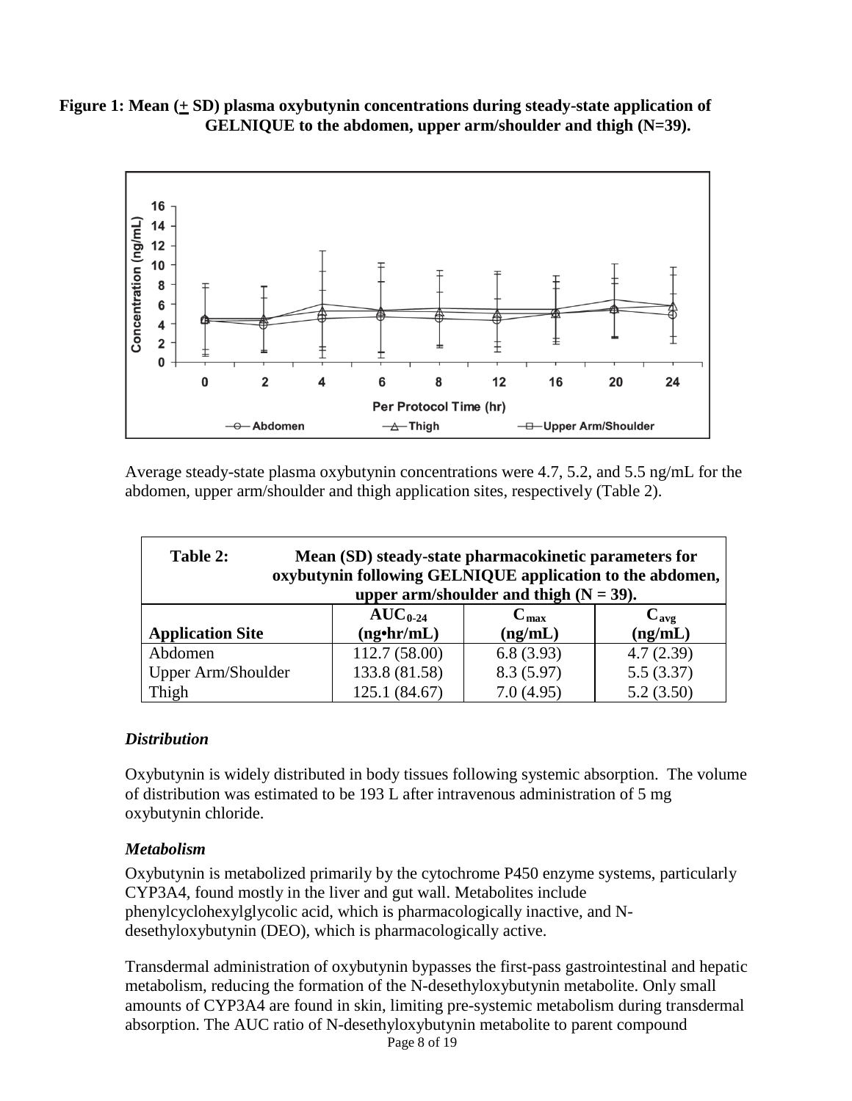<span id="page-7-0"></span>**Figure** 1: Mean  $(+$  SD) plasma oxybutynin concentrations during steady-state application of **GELNIQUE to the abdomen, upper arm/shoulder and thigh (N=39).**



Average steady-state plasma oxybutynin concentrations were 4.7, 5.2, and 5.5 ng/mL for the abdomen, upper arm/shoulder and thigh application sites, respectively [\(Table](#page-7-1) 2).

<span id="page-7-1"></span>

| Table 2:<br>Mean (SD) steady-state pharmacokinetic parameters for<br>oxybutynin following GELNIQUE application to the abdomen, |                   |                  |                  |  |  |  |  |
|--------------------------------------------------------------------------------------------------------------------------------|-------------------|------------------|------------------|--|--|--|--|
| upper arm/shoulder and thigh $(N = 39)$ .                                                                                      |                   |                  |                  |  |  |  |  |
|                                                                                                                                | $AUC_{0.24}$      | $C_{\text{max}}$ | $C_{\text{avg}}$ |  |  |  |  |
| <b>Application Site</b>                                                                                                        | $(ng\cdot hr/mL)$ | (ng/mL)          | (ng/mL)          |  |  |  |  |
| Abdomen                                                                                                                        | 112.7 (58.00)     | 6.8(3.93)        | 4.7(2.39)        |  |  |  |  |
| Upper Arm/Shoulder                                                                                                             | 133.8 (81.58)     | 8.3(5.97)        | 5.5(3.37)        |  |  |  |  |
| Thigh                                                                                                                          | 125.1 (84.67)     | 7.0(4.95)        | 5.2(3.50)        |  |  |  |  |

#### *Distribution*

Oxybutynin is widely distributed in body tissues following systemic absorption. The volume of distribution was estimated to be 193 L after intravenous administration of 5 mg oxybutynin chloride.

#### *Metabolism*

Oxybutynin is metabolized primarily by the cytochrome P450 enzyme systems, particularly CYP3A4, found mostly in the liver and gut wall. Metabolites include phenylcyclohexylglycolic acid, which is pharmacologically inactive, and Ndesethyloxybutynin (DEO), which is pharmacologically active.

Transdermal administration of oxybutynin bypasses the first-pass gastrointestinal and hepatic metabolism, reducing the formation of the N-desethyloxybutynin metabolite. Only small amounts of CYP3A4 are found in skin, limiting pre-systemic metabolism during transdermal absorption. The AUC ratio of N-desethyloxybutynin metabolite to parent compound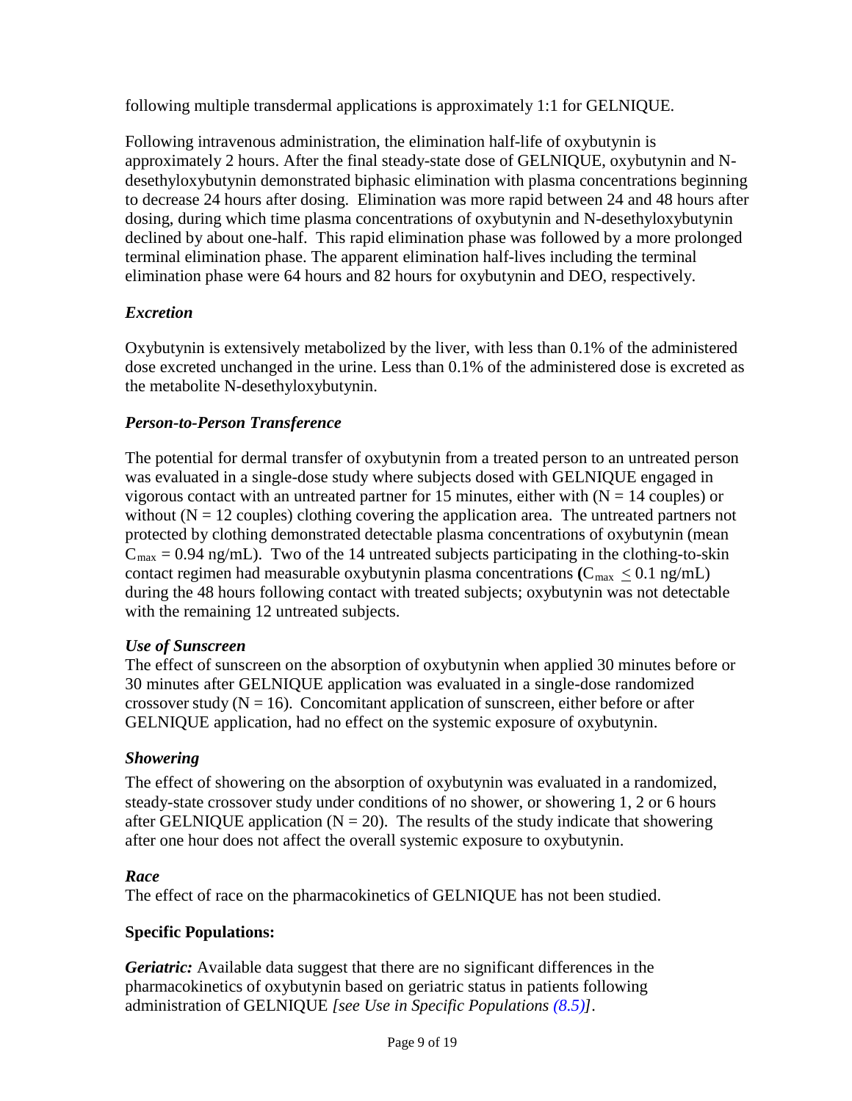following multiple transdermal applications is approximately 1:1 for GELNIQUE.

Following intravenous administration, the elimination half-life of oxybutynin is approximately 2 hours. After the final steady-state dose of GELNIQUE, oxybutynin and Ndesethyloxybutynin demonstrated biphasic elimination with plasma concentrations beginning to decrease 24 hours after dosing. Elimination was more rapid between 24 and 48 hours after dosing, during which time plasma concentrations of oxybutynin and N-desethyloxybutynin declined by about one-half. This rapid elimination phase was followed by a more prolonged terminal elimination phase. The apparent elimination half-lives including the terminal elimination phase were 64 hours and 82 hours for oxybutynin and DEO, respectively.

## *Excretion*

Oxybutynin is extensively metabolized by the liver, with less than 0.1% of the administered dose excreted unchanged in the urine. Less than 0.1% of the administered dose is excreted as the metabolite N-desethyloxybutynin.

## *Person-to-Person Transference*

The potential for dermal transfer of oxybutynin from a treated person to an untreated person was evaluated in a single-dose study where subjects dosed with GELNIQUE engaged in vigorous contact with an untreated partner for 15 minutes, either with  $(N = 14$  couples) or without  $(N = 12$  couples) clothing covering the application area. The untreated partners not protected by clothing demonstrated detectable plasma concentrations of oxybutynin (mean  $C_{\text{max}} = 0.94$  ng/mL). Two of the 14 untreated subjects participating in the clothing-to-skin contact regimen had measurable oxybutynin plasma concentrations  $(C_{\text{max}} \leq 0.1 \text{ ng/mL})$ during the 48 hours following contact with treated subjects; oxybutynin was not detectable with the remaining 12 untreated subjects.

## *Use of Sunscreen*

The effect of sunscreen on the absorption of oxybutynin when applied 30 minutes before or 30 minutes after GELNIQUE application was evaluated in a single-dose randomized crossover study  $(N = 16)$ . Concomitant application of sunscreen, either before or after GELNIQUE application, had no effect on the systemic exposure of oxybutynin.

## *Showering*

The effect of showering on the absorption of oxybutynin was evaluated in a randomized, steady-state crossover study under conditions of no shower, or showering 1, 2 or 6 hours after GELNIQUE application ( $N = 20$ ). The results of the study indicate that showering after one hour does not affect the overall systemic exposure to oxybutynin.

## *Race*

The effect of race on the pharmacokinetics of GELNIQUE has not been studied.

# **Specific Populations:**

*Geriatric:* Available data suggest that there are no significant differences in the pharmacokinetics of oxybutynin based on geriatric status in patients following administration of GELNIQUE *[see Use in Specific Populations [\(8.5\)\]](#page-5-2).*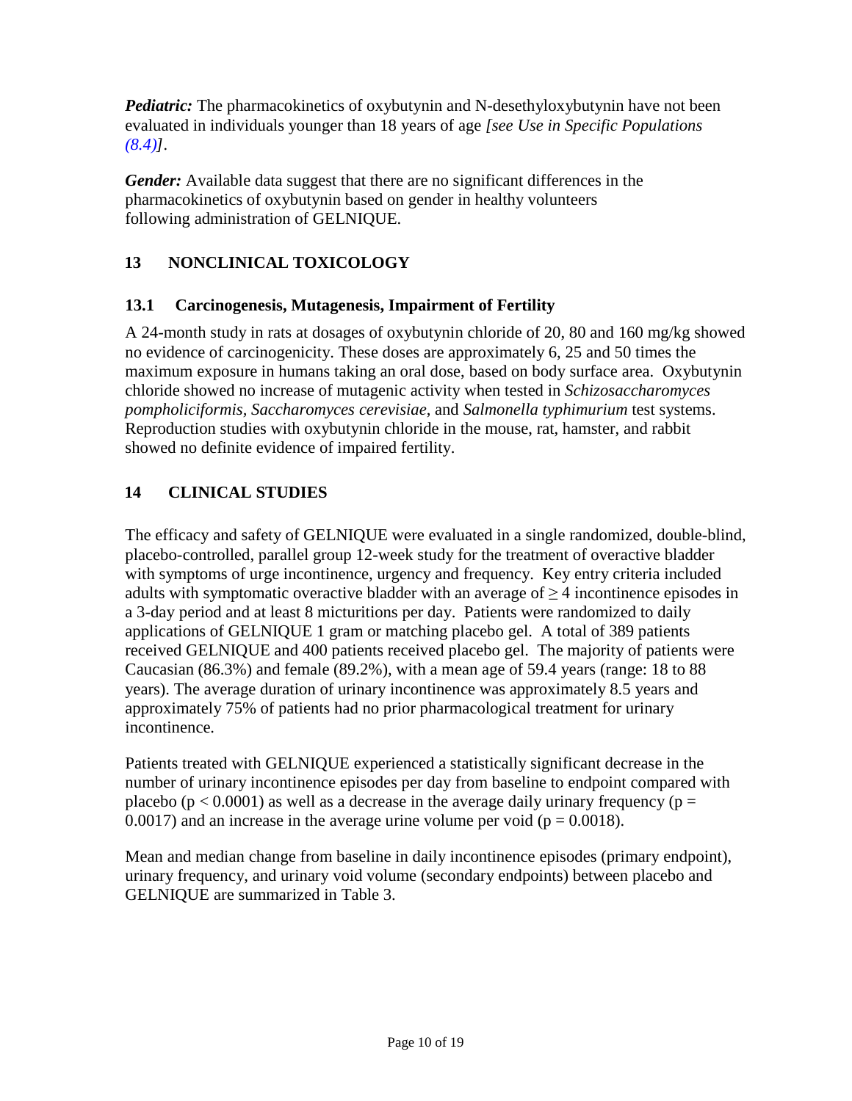*Pediatric:* The pharmacokinetics of oxybutynin and N-desethyloxybutynin have not been evaluated in individuals younger than 18 years of age *[see Use in Specific Populations [\(8.4\)\]](#page-5-1).*

*Gender:* Available data suggest that there are no significant differences in the pharmacokinetics of oxybutynin based on gender in healthy volunteers following administration of GELNIQUE.

# <span id="page-9-0"></span>**13 NONCLINICAL TOXICOLOGY**

## <span id="page-9-1"></span>**13.1 Carcinogenesis, Mutagenesis, Impairment of Fertility**

A 24-month study in rats at dosages of oxybutynin chloride of 20, 80 and 160 mg/kg showed no evidence of carcinogenicity. These doses are approximately 6, 25 and 50 times the maximum exposure in humans taking an oral dose, based on body surface area. Oxybutynin chloride showed no increase of mutagenic activity when tested in *Schizosaccharomyces pompholiciformis, Saccharomyces cerevisiae*, and *Salmonella typhimurium* test systems. Reproduction studies with oxybutynin chloride in the mouse, rat, hamster, and rabbit showed no definite evidence of impaired fertility.

# <span id="page-9-2"></span>**14 CLINICAL STUDIES**

The efficacy and safety of GELNIQUE were evaluated in a single randomized, double-blind, placebo-controlled, parallel group 12-week study for the treatment of overactive bladder with symptoms of urge incontinence, urgency and frequency. Key entry criteria included adults with symptomatic overactive bladder with an average of  $\geq$  4 incontinence episodes in a 3-day period and at least 8 micturitions per day. Patients were randomized to daily applications of GELNIQUE 1 gram or matching placebo gel. A total of 389 patients received GELNIQUE and 400 patients received placebo gel. The majority of patients were Caucasian (86.3%) and female (89.2%), with a mean age of 59.4 years (range: 18 to 88 years). The average duration of urinary incontinence was approximately 8.5 years and approximately 75% of patients had no prior pharmacological treatment for urinary incontinence.

Patients treated with GELNIQUE experienced a statistically significant decrease in the number of urinary incontinence episodes per day from baseline to endpoint compared with placebo ( $p < 0.0001$ ) as well as a decrease in the average daily urinary frequency ( $p =$ 0.0017) and an increase in the average urine volume per void ( $p = 0.0018$ ).

Mean and median change from baseline in daily incontinence episodes (primary endpoint), urinary frequency, and urinary void volume (secondary endpoints) between placebo and GELNIQUE are summarized in Table 3.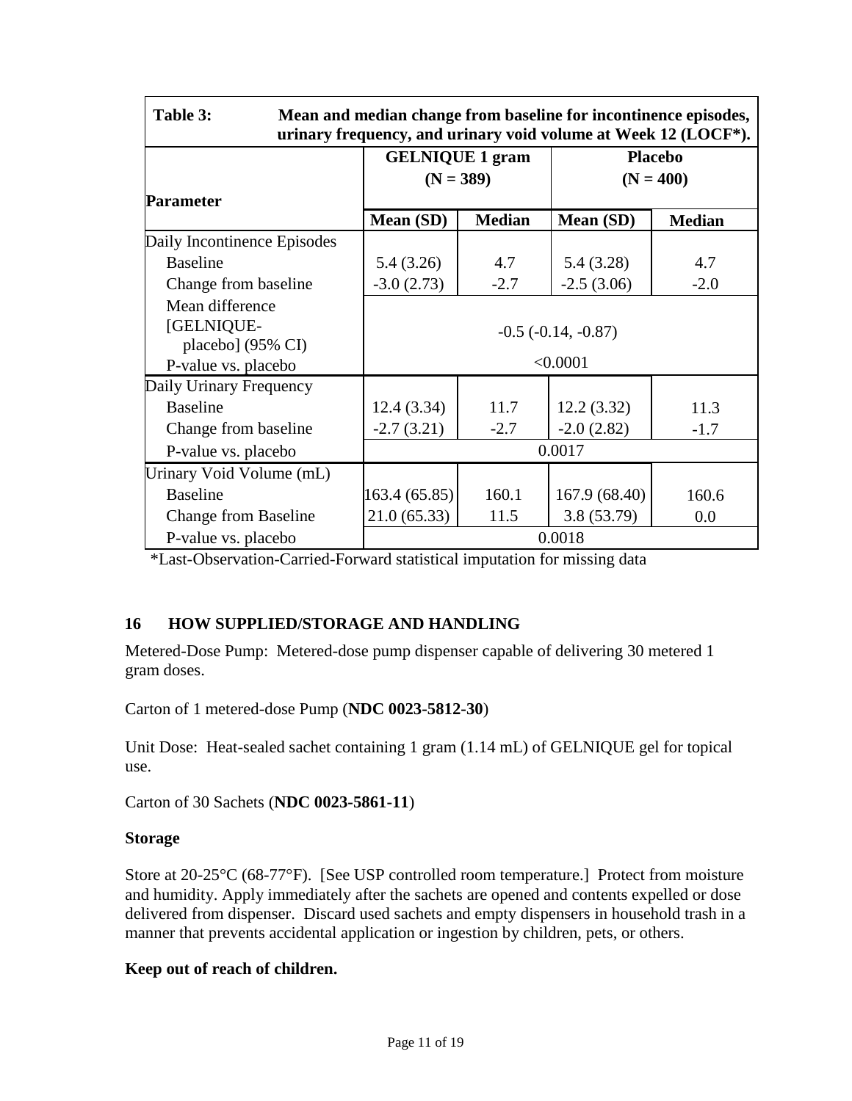| Table 3:<br>Mean and median change from baseline for incontinence episodes,<br>urinary frequency, and urinary void volume at Week 12 (LOCF*). |                         |                                       |                  |                               |  |
|-----------------------------------------------------------------------------------------------------------------------------------------------|-------------------------|---------------------------------------|------------------|-------------------------------|--|
|                                                                                                                                               |                         | <b>GELNIQUE 1 gram</b><br>$(N = 389)$ |                  | <b>Placebo</b><br>$(N = 400)$ |  |
|                                                                                                                                               |                         |                                       |                  |                               |  |
| <b>Parameter</b>                                                                                                                              |                         |                                       |                  |                               |  |
|                                                                                                                                               | Mean (SD)               | <b>Median</b>                         | <b>Mean (SD)</b> | <b>Median</b>                 |  |
| Daily Incontinence Episodes                                                                                                                   |                         |                                       |                  |                               |  |
| <b>Baseline</b>                                                                                                                               | 5.4(3.26)               | 4.7                                   | 5.4(3.28)        | 4.7                           |  |
| Change from baseline                                                                                                                          | $-3.0(2.73)$            | $-2.7$                                | $-2.5(3.06)$     | $-2.0$                        |  |
| Mean difference<br>[GELNIQUE-<br>placebo] $(95\% \text{ CI})$                                                                                 | $-0.5$ $(-0.14, -0.87)$ |                                       |                  |                               |  |
| P-value vs. placebo                                                                                                                           |                         | < 0.0001                              |                  |                               |  |
| Daily Urinary Frequency                                                                                                                       |                         |                                       |                  |                               |  |
| <b>Baseline</b>                                                                                                                               | 12.4(3.34)              | 11.7                                  | 12.2(3.32)       | 11.3                          |  |
| Change from baseline                                                                                                                          | $-2.7(3.21)$            | $-2.7$                                | $-2.0(2.82)$     | $-1.7$                        |  |
| P-value vs. placebo                                                                                                                           |                         | 0.0017                                |                  |                               |  |
| Urinary Void Volume (mL)                                                                                                                      |                         |                                       |                  |                               |  |
| <b>Baseline</b>                                                                                                                               | 163.4 (65.85)           | 160.1                                 | 167.9 (68.40)    | 160.6                         |  |
| <b>Change from Baseline</b>                                                                                                                   | 21.0(65.33)             | 11.5                                  | 3.8(53.79)       | 0.0                           |  |
| P-value vs. placebo                                                                                                                           |                         | 0.0018                                |                  |                               |  |

\*Last-Observation-Carried-Forward statistical imputation for missing data

## <span id="page-10-0"></span>**16 HOW SUPPLIED/STORAGE AND HANDLING**

Metered-Dose Pump: Metered-dose pump dispenser capable of delivering 30 metered 1 gram doses.

Carton of 1 metered-dose Pump (**NDC 0023-5812-30**)

Unit Dose: Heat-sealed sachet containing 1 gram (1.14 mL) of GELNIQUE gel for topical use.

Carton of 30 Sachets (**NDC 0023-5861-11**)

#### **Storage**

Store at 20-25°C (68-77°F). [See USP controlled room temperature.] Protect from moisture and humidity. Apply immediately after the sachets are opened and contents expelled or dose delivered from dispenser. Discard used sachets and empty dispensers in household trash in a manner that prevents accidental application or ingestion by children, pets, or others.

#### **Keep out of reach of children.**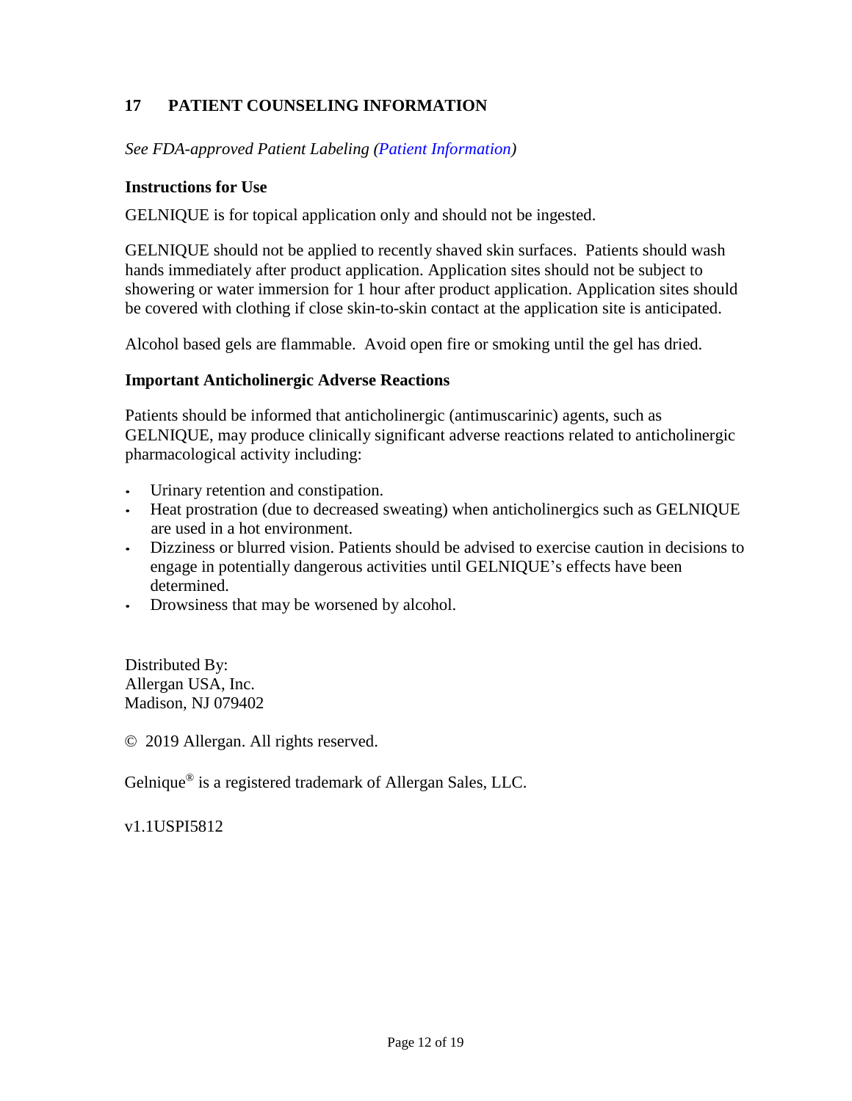# <span id="page-11-0"></span>**17 PATIENT COUNSELING INFORMATION**

*See FDA-approved Patient Labeling [\(Patient Information\)](#page-12-0)*

#### **Instructions for Use**

GELNIQUE is for topical application only and should not be ingested.

GELNIQUE should not be applied to recently shaved skin surfaces. Patients should wash hands immediately after product application. Application sites should not be subject to showering or water immersion for 1 hour after product application. Application sites should be covered with clothing if close skin-to-skin contact at the application site is anticipated.

Alcohol based gels are flammable. Avoid open fire or smoking until the gel has dried.

#### **Important Anticholinergic Adverse Reactions**

Patients should be informed that anticholinergic (antimuscarinic) agents, such as GELNIQUE, may produce clinically significant adverse reactions related to anticholinergic pharmacological activity including:

- Urinary retention and constipation.
- Heat prostration (due to decreased sweating) when anticholinergics such as GELNIQUE are used in a hot environment.
- Dizziness or blurred vision. Patients should be advised to exercise caution in decisions to engage in potentially dangerous activities until GELNIQUE's effects have been determined.
- Drowsiness that may be worsened by alcohol.

Distributed By: Allergan USA, Inc. Madison, NJ 079402

© 2019 Allergan. All rights reserved.

Gelnique® is a registered trademark of Allergan Sales, LLC.

v1.1USPI5812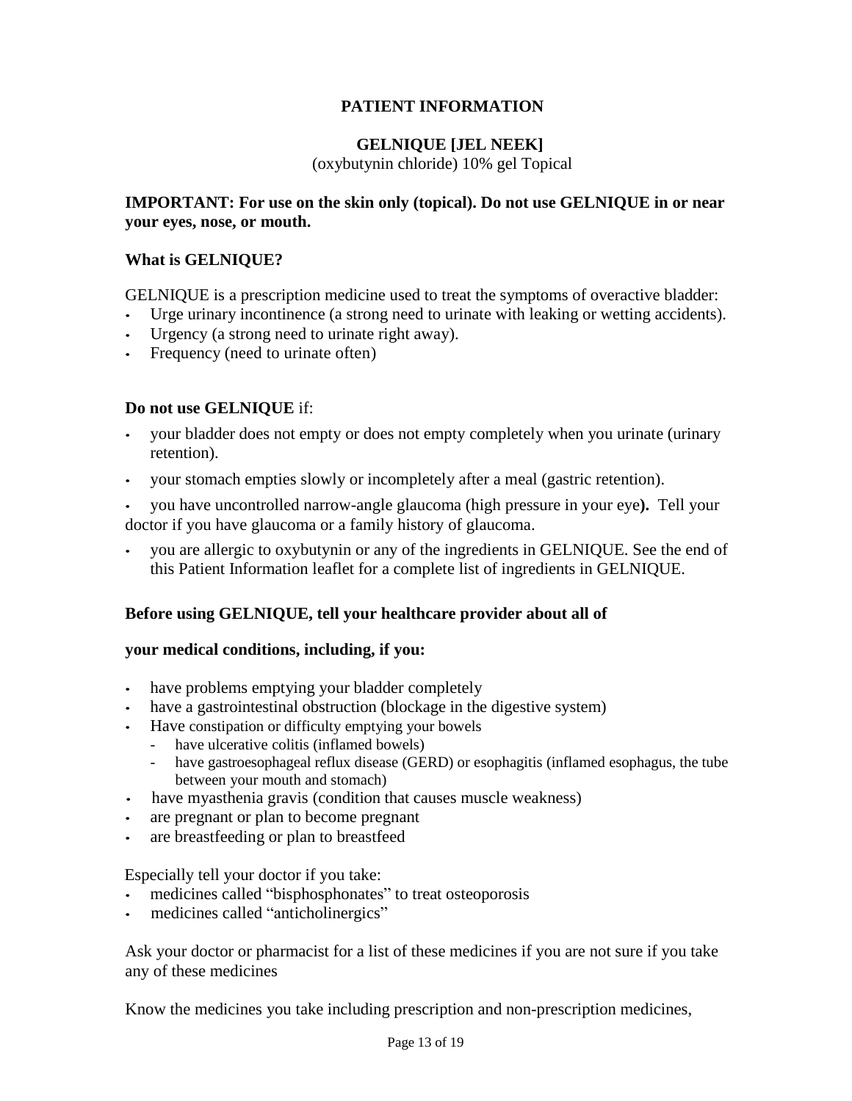## **PATIENT INFORMATION**

#### **GELNIQUE [JEL NEEK]**

(oxybutynin chloride) 10% gel Topical

#### <span id="page-12-0"></span>**IMPORTANT: For use on the skin only (topical). Do not use GELNIQUE in or near your eyes, nose, or mouth.**

#### **What is GELNIQUE?**

GELNIQUE is a prescription medicine used to treat the symptoms of overactive bladder:

- Urge urinary incontinence (a strong need to urinate with leaking or wetting accidents).
- Urgency (a strong need to urinate right away).
- Frequency (need to urinate often)

## **Do not use GELNIQUE** if:

- your bladder does not empty or does not empty completely when you urinate (urinary retention).
- your stomach empties slowly or incompletely after a meal (gastric retention).

• you have uncontrolled narrow-angle glaucoma (high pressure in your eye**).** Tell your doctor if you have glaucoma or a family history of glaucoma.

• you are allergic to oxybutynin or any of the ingredients in GELNIQUE. See the end of this Patient Information leaflet for a complete list of ingredients in GELNIQUE.

## **Before using GELNIQUE, tell your healthcare provider about all of**

#### **your medical conditions, including, if you:**

- have problems emptying your bladder completely
- have a gastrointestinal obstruction (blockage in the digestive system)
- Have constipation or difficulty emptying your bowels
	- have ulcerative colitis (inflamed bowels)
	- have gastroesophageal reflux disease (GERD) or esophagitis (inflamed esophagus, the tube between your mouth and stomach)
- have myasthenia gravis (condition that causes muscle weakness)
- are pregnant or plan to become pregnant
- are breastfeeding or plan to breastfeed

Especially tell your doctor if you take:

- medicines called "bisphosphonates" to treat osteoporosis
- medicines called "anticholinergics"

Ask your doctor or pharmacist for a list of these medicines if you are not sure if you take any of these medicines

Know the medicines you take including prescription and non-prescription medicines,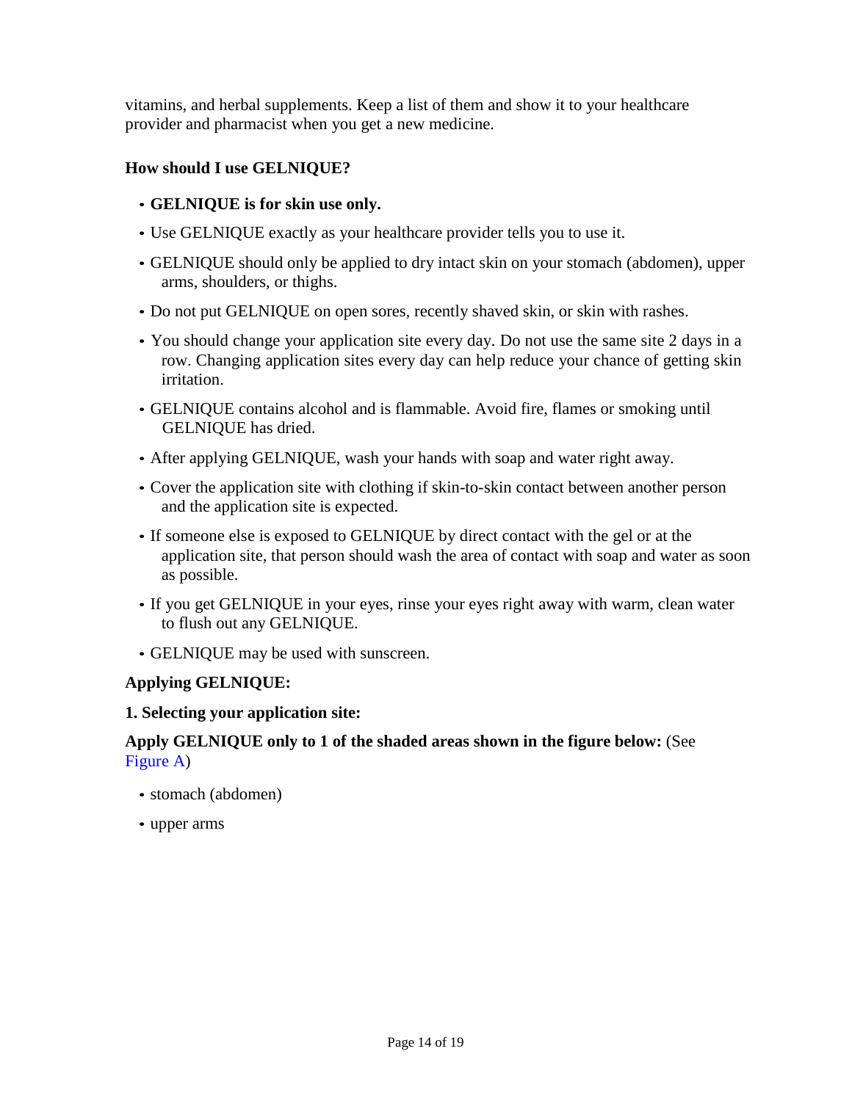vitamins, and herbal supplements. Keep a list of them and show it to your healthcare provider and pharmacist when you get a new medicine.

## **How should I use GELNIQUE?**

- **GELNIQUE is for skin use only.**
- Use GELNIQUE exactly as your healthcare provider tells you to use it.
- GELNIQUE should only be applied to dry intact skin on your stomach (abdomen), upper arms, shoulders, or thighs.
- Do not put GELNIQUE on open sores, recently shaved skin, or skin with rashes.
- You should change your application site every day. Do not use the same site 2 days in a row. Changing application sites every day can help reduce your chance of getting skin irritation.
- GELNIQUE contains alcohol and is flammable. Avoid fire, flames or smoking until GELNIQUE has dried.
- After applying GELNIQUE, wash your hands with soap and water right away.
- Cover the application site with clothing if skin-to-skin contact between another person and the application site is expected.
- If someone else is exposed to GELNIQUE by direct contact with the gel or at the application site, that person should wash the area of contact with soap and water as soon as possible.
- If you get GELNIQUE in your eyes, rinse your eyes right away with warm, clean water to flush out any GELNIQUE.
- GELNIQUE may be used with sunscreen.

## **Applying GELNIQUE:**

#### **1. Selecting your application site:**

#### **Apply GELNIQUE only to 1 of the shaded areas shown in the figure below:** (See [Figure](#page-14-0) A)

- stomach (abdomen)
- upper arms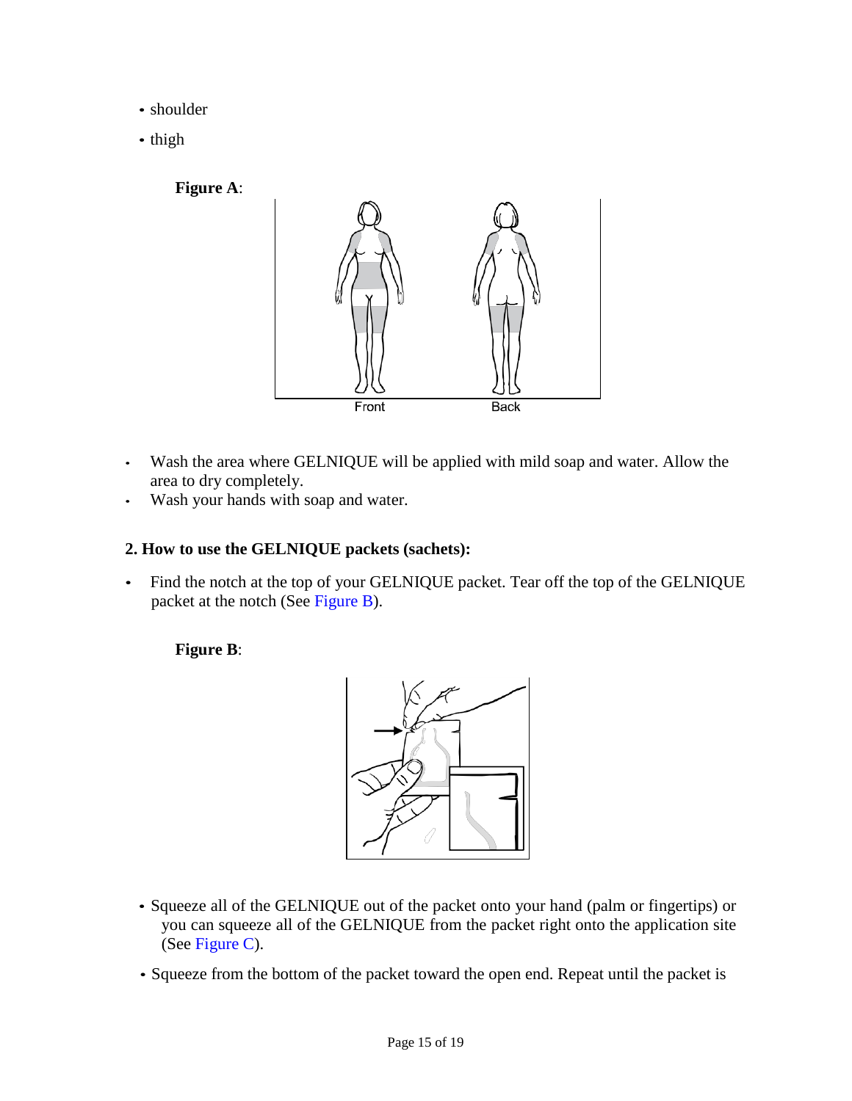- shoulder
- thigh

## <span id="page-14-0"></span>**Figure A**:



- Wash the area where GELNIQUE will be applied with mild soap and water. Allow the area to dry completely.
- Wash your hands with soap and water.

## **2. How to use the GELNIQUE packets (sachets):**

<span id="page-14-1"></span>• Find the notch at the top of your GELNIQUE packet. Tear off the top of the GELNIQUE packet at the notch (See [Figure](#page-14-1) B).

## **Figure B**:



- Squeeze all of the GELNIQUE out of the packet onto your hand (palm or fingertips) or you can squeeze all of the GELNIQUE from the packet right onto the application site (See [Figure](#page-15-0) C).
- Squeeze from the bottom of the packet toward the open end. Repeat until the packet is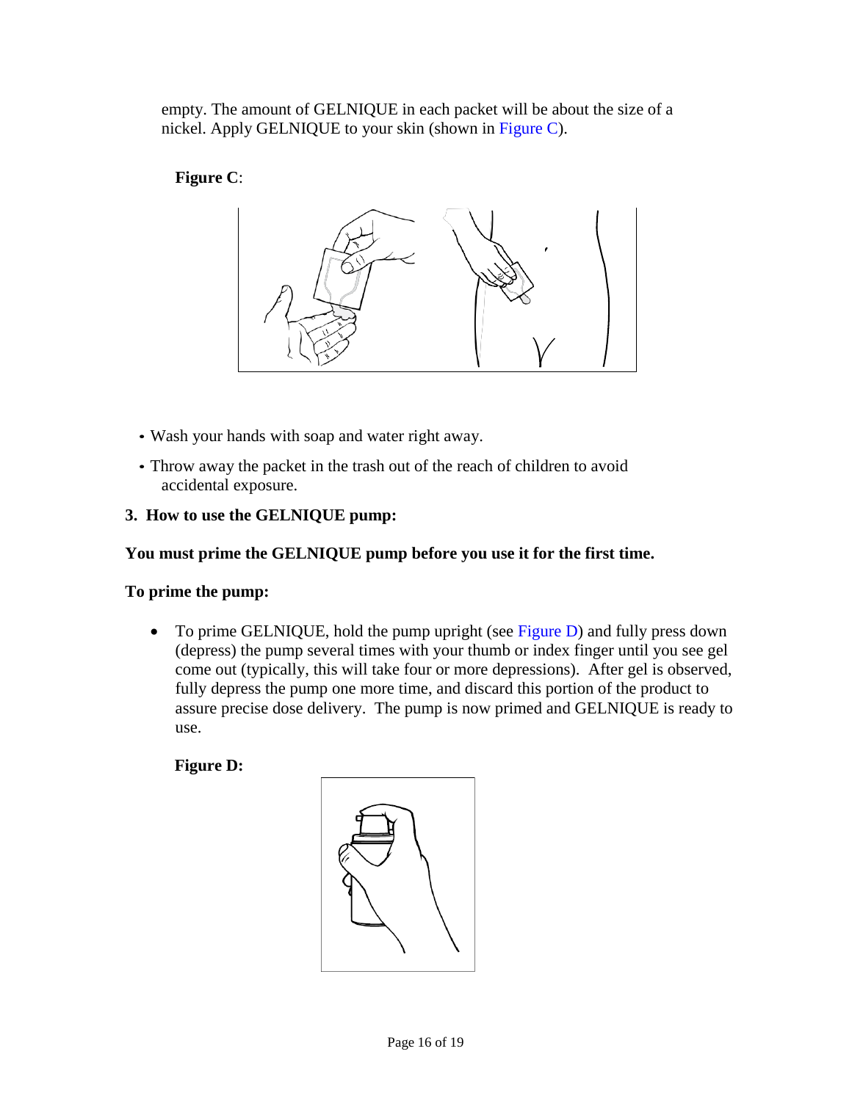empty. The amount of GELNIQUE in each packet will be about the size of a nickel. Apply GELNIQUE to your skin (shown in [Figure](#page-15-0) C).

# <span id="page-15-0"></span>**Figure C**:



- Wash your hands with soap and water right away.
- Throw away the packet in the trash out of the reach of children to avoid accidental exposure.

# **3. How to use the GELNIQUE pump:**

## **You must prime the GELNIQUE pump before you use it for the first time.**

## **To prime the pump:**

• To prime GELNIQUE, hold the pump upright (see [Figure D\)](#page-15-1) and fully press down (depress) the pump several times with your thumb or index finger until you see gel come out (typically, this will take four or more depressions). After gel is observed, fully depress the pump one more time, and discard this portion of the product to assure precise dose delivery. The pump is now primed and GELNIQUE is ready to use.

<span id="page-15-1"></span>**Figure D:**

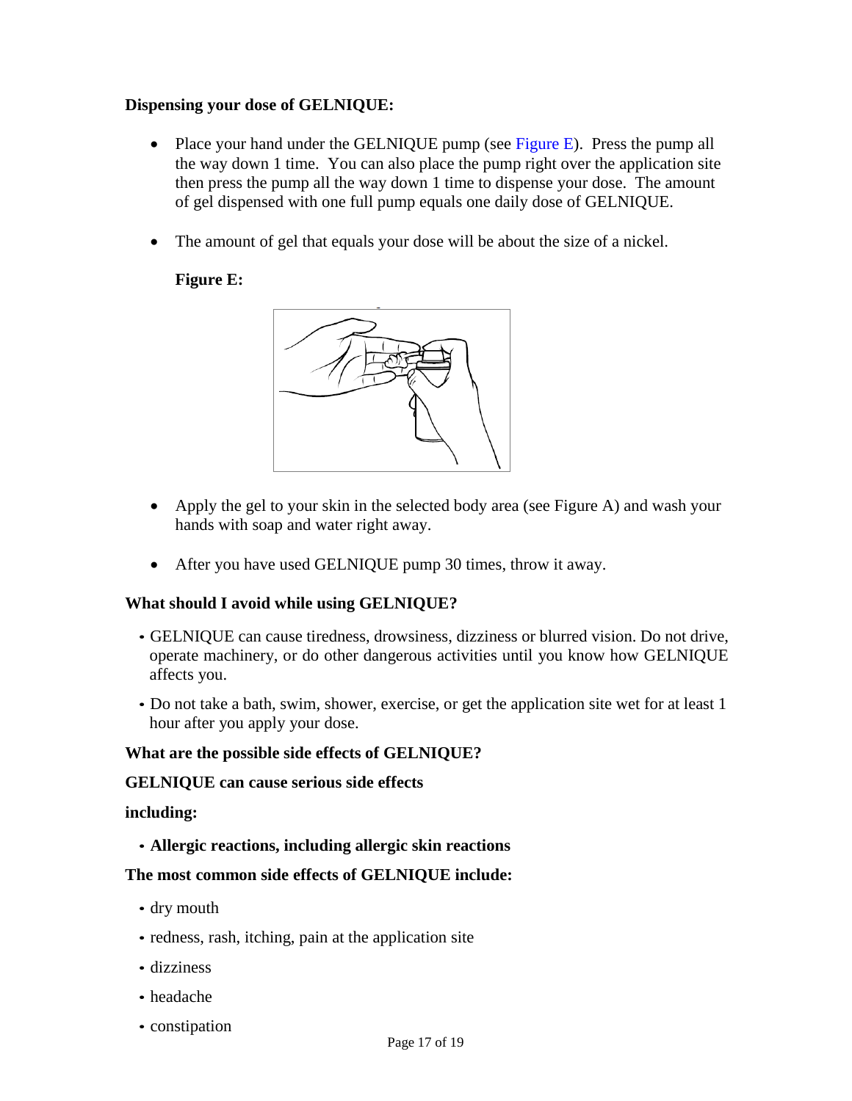#### **Dispensing your dose of GELNIQUE:**

- Place your hand under the GELNIQUE pump (see [Figure E\)](#page-16-0). Press the pump all the way down 1 time. You can also place the pump right over the application site then press the pump all the way down 1 time to dispense your dose. The amount of gel dispensed with one full pump equals one daily dose of GELNIQUE.
- <span id="page-16-0"></span>• The amount of gel that equals your dose will be about the size of a nickel.

## **Figure E:**



- Apply the gel to your skin in the selected body area (see Figure A) and wash your hands with soap and water right away.
- After you have used GELNIQUE pump 30 times, throw it away.

#### **What should I avoid while using GELNIQUE?**

- GELNIQUE can cause tiredness, drowsiness, dizziness or blurred vision. Do not drive, operate machinery, or do other dangerous activities until you know how GELNIQUE affects you.
- Do not take a bath, swim, shower, exercise, or get the application site wet for at least 1 hour after you apply your dose.

#### **What are the possible side effects of GELNIQUE?**

#### **GELNIQUE can cause serious side effects**

#### **including:**

• **Allergic reactions, including allergic skin reactions**

#### **The most common side effects of GELNIQUE include:**

- dry mouth
- redness, rash, itching, pain at the application site
- dizziness
- headache
- constipation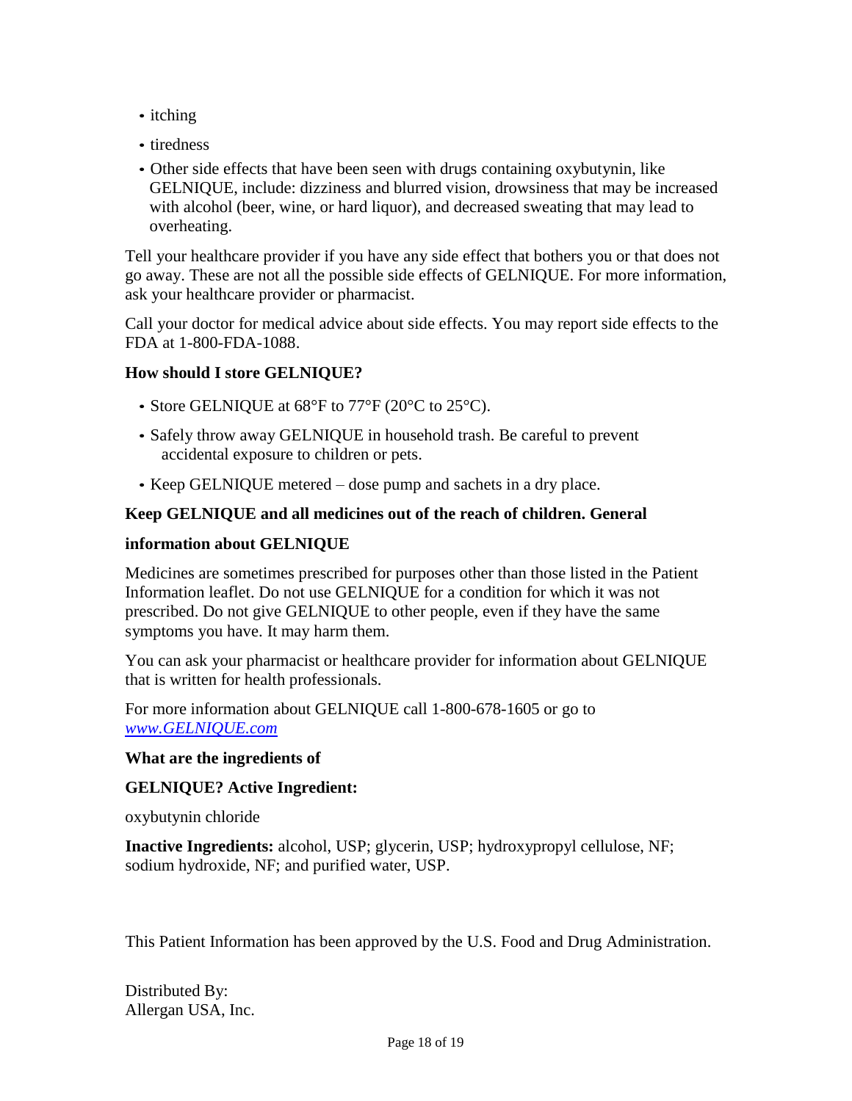- itching
- tiredness
- Other side effects that have been seen with drugs containing oxybutynin, like GELNIQUE, include: dizziness and blurred vision, drowsiness that may be increased with alcohol (beer, wine, or hard liquor), and decreased sweating that may lead to overheating.

Tell your healthcare provider if you have any side effect that bothers you or that does not go away. These are not all the possible side effects of GELNIQUE. For more information, ask your healthcare provider or pharmacist.

Call your doctor for medical advice about side effects. You may report side effects to the FDA at 1-800-FDA-1088.

## **How should I store GELNIQUE?**

- Store GELNIQUE at 68°F to 77°F (20°C to 25°C).
- Safely throw away GELNIQUE in household trash. Be careful to prevent accidental exposure to children or pets.
- Keep GELNIQUE metered dose pump and sachets in a dry place.

## **Keep GELNIQUE and all medicines out of the reach of children. General**

#### **information about GELNIQUE**

Medicines are sometimes prescribed for purposes other than those listed in the Patient Information leaflet. Do not use GELNIQUE for a condition for which it was not prescribed. Do not give GELNIQUE to other people, even if they have the same symptoms you have. It may harm them.

You can ask your pharmacist or healthcare provider for information about GELNIQUE that is written for health professionals.

For more information about GELNIQUE call 1-800-678-1605 or go to *www.GELNIQUE.com*

#### **What are the ingredients of**

#### **GELNIQUE? Active Ingredient:**

oxybutynin chloride

**Inactive Ingredients:** alcohol, USP; glycerin, USP; hydroxypropyl cellulose, NF; sodium hydroxide, NF; and purified water, USP.

This Patient Information has been approved by the U.S. Food and Drug Administration.

Distributed By: Allergan USA, Inc.